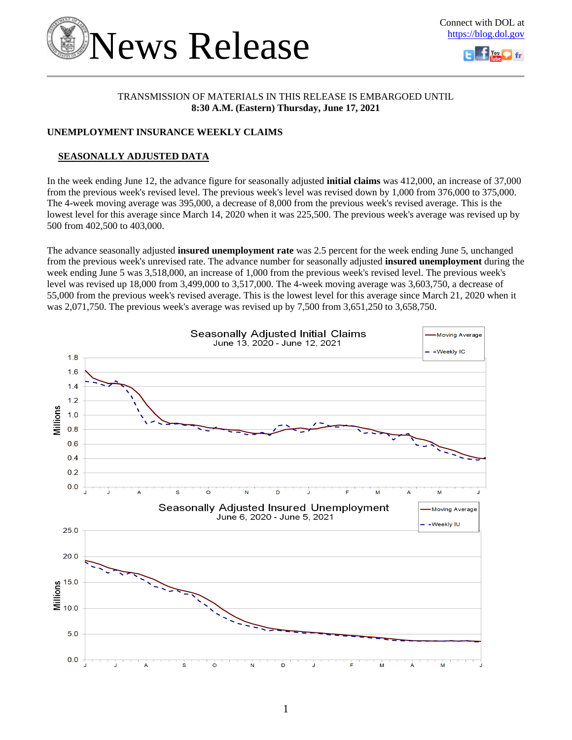



### TRANSMISSION OF MATERIALS IN THIS RELEASE IS EMBARGOED UNTIL **8:30 A.M. (Eastern) Thursday, June 17, 2021**

### **UNEMPLOYMENT INSURANCE WEEKLY CLAIMS**

### **SEASONALLY ADJUSTED DATA**

In the week ending June 12, the advance figure for seasonally adjusted **initial claims** was 412,000, an increase of 37,000 from the previous week's revised level. The previous week's level was revised down by 1,000 from 376,000 to 375,000. The 4-week moving average was 395,000, a decrease of 8,000 from the previous week's revised average. This is the lowest level for this average since March 14, 2020 when it was 225,500. The previous week's average was revised up by 500 from 402,500 to 403,000.

The advance seasonally adjusted **insured unemployment rate** was 2.5 percent for the week ending June 5, unchanged from the previous week's unrevised rate. The advance number for seasonally adjusted **insured unemployment** during the week ending June 5 was 3,518,000, an increase of 1,000 from the previous week's revised level. The previous week's level was revised up 18,000 from 3,499,000 to 3,517,000. The 4-week moving average was 3,603,750, a decrease of 55,000 from the previous week's revised average. This is the lowest level for this average since March 21, 2020 when it was 2,071,750. The previous week's average was revised up by 7,500 from 3,651,250 to 3,658,750.

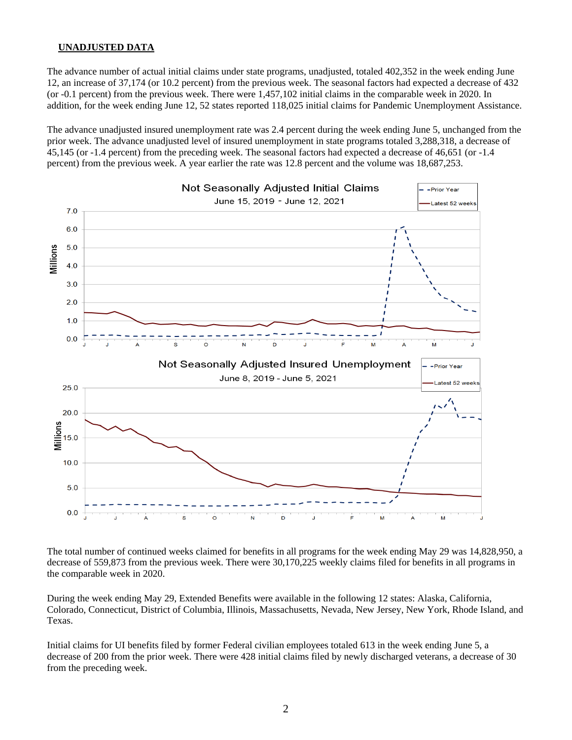### **UNADJUSTED DATA**

The advance number of actual initial claims under state programs, unadjusted, totaled 402,352 in the week ending June 12, an increase of 37,174 (or 10.2 percent) from the previous week. The seasonal factors had expected a decrease of 432 (or -0.1 percent) from the previous week. There were 1,457,102 initial claims in the comparable week in 2020. In addition, for the week ending June 12, 52 states reported 118,025 initial claims for Pandemic Unemployment Assistance.

The advance unadjusted insured unemployment rate was 2.4 percent during the week ending June 5, unchanged from the prior week. The advance unadjusted level of insured unemployment in state programs totaled 3,288,318, a decrease of 45,145 (or -1.4 percent) from the preceding week. The seasonal factors had expected a decrease of 46,651 (or -1.4 percent) from the previous week. A year earlier the rate was 12.8 percent and the volume was 18,687,253.



The total number of continued weeks claimed for benefits in all programs for the week ending May 29 was 14,828,950, a decrease of 559,873 from the previous week. There were 30,170,225 weekly claims filed for benefits in all programs in the comparable week in 2020.

During the week ending May 29, Extended Benefits were available in the following 12 states: Alaska, California, Colorado, Connecticut, District of Columbia, Illinois, Massachusetts, Nevada, New Jersey, New York, Rhode Island, and Texas.

Initial claims for UI benefits filed by former Federal civilian employees totaled 613 in the week ending June 5, a decrease of 200 from the prior week. There were 428 initial claims filed by newly discharged veterans, a decrease of 30 from the preceding week.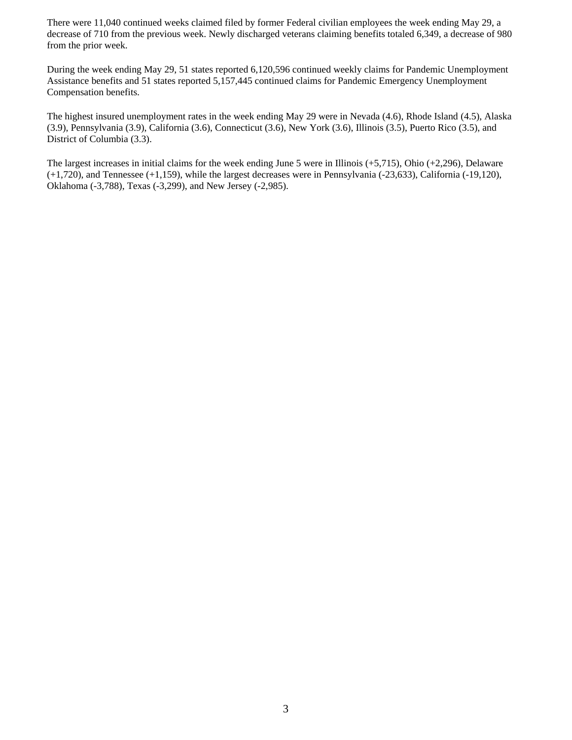There were 11,040 continued weeks claimed filed by former Federal civilian employees the week ending May 29, a decrease of 710 from the previous week. Newly discharged veterans claiming benefits totaled 6,349, a decrease of 980 from the prior week.

During the week ending May 29, 51 states reported 6,120,596 continued weekly claims for Pandemic Unemployment Assistance benefits and 51 states reported 5,157,445 continued claims for Pandemic Emergency Unemployment Compensation benefits.

The highest insured unemployment rates in the week ending May 29 were in Nevada (4.6), Rhode Island (4.5), Alaska (3.9), Pennsylvania (3.9), California (3.6), Connecticut (3.6), New York (3.6), Illinois (3.5), Puerto Rico (3.5), and District of Columbia (3.3).

The largest increases in initial claims for the week ending June 5 were in Illinois (+5,715), Ohio (+2,296), Delaware (+1,720), and Tennessee (+1,159), while the largest decreases were in Pennsylvania (-23,633), California (-19,120), Oklahoma (-3,788), Texas (-3,299), and New Jersey (-2,985).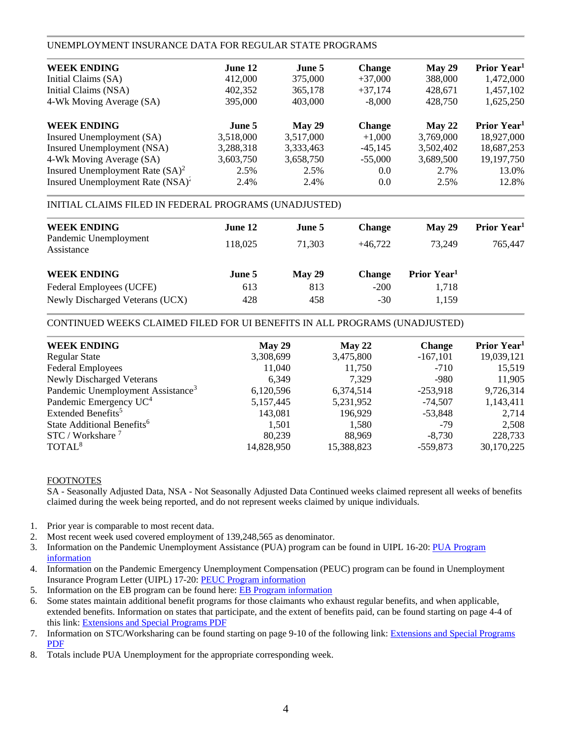### UNEMPLOYMENT INSURANCE DATA FOR REGULAR STATE PROGRAMS

| <b>WEEK ENDING</b>                           | June 12   | June 5    | <b>Change</b> | May 29    | Prior Year <sup>1</sup> |
|----------------------------------------------|-----------|-----------|---------------|-----------|-------------------------|
| Initial Claims (SA)                          | 412,000   | 375,000   | $+37,000$     | 388,000   | 1,472,000               |
| Initial Claims (NSA)                         | 402,352   | 365,178   | $+37,174$     | 428,671   | 1,457,102               |
| 4-Wk Moving Average (SA)                     | 395,000   | 403,000   | $-8,000$      | 428,750   | 1,625,250               |
| <b>WEEK ENDING</b>                           | June 5    | May 29    | <b>Change</b> | May 22    | Prior Year <sup>1</sup> |
| Insured Unemployment (SA)                    | 3,518,000 | 3,517,000 | $+1,000$      | 3,769,000 | 18,927,000              |
| Insured Unemployment (NSA)                   | 3,288,318 | 3,333,463 | $-45.145$     | 3,502,402 | 18,687,253              |
| 4-Wk Moving Average (SA)                     | 3,603,750 | 3,658,750 | $-55,000$     | 3,689,500 | 19,197,750              |
| Insured Unemployment Rate $(SA)^2$           | 2.5%      | 2.5%      | 0.0           | 2.7%      | 13.0%                   |
| Insured Unemployment Rate (NSA) <sup>2</sup> | 2.4%      | 2.4%      | 0.0           | 2.5%      | 12.8%                   |
|                                              |           |           |               |           |                         |

### INITIAL CLAIMS FILED IN FEDERAL PROGRAMS (UNADJUSTED)

| <b>WEEK ENDING</b>                  | June 12 | June 5 | <b>Change</b> | <b>May 29</b>           | Prior Year <sup>1</sup> |
|-------------------------------------|---------|--------|---------------|-------------------------|-------------------------|
| Pandemic Unemployment<br>Assistance | 118,025 | 71.303 | $+46.722$     | 73.249                  | 765,447                 |
| <b>WEEK ENDING</b>                  | June 5  | May 29 | <b>Change</b> | Prior Year <sup>1</sup> |                         |
| Federal Employees (UCFE)            | 613     | 813    | $-200$        | 1.718                   |                         |
| Newly Discharged Veterans (UCX)     | 428     | 458    | $-30$         | 1,159                   |                         |
|                                     |         |        |               |                         |                         |

### CONTINUED WEEKS CLAIMED FILED FOR UI BENEFITS IN ALL PROGRAMS (UNADJUSTED)

| <b>WEEK ENDING</b>                            | May 29     | May 22     | <b>Change</b> | Prior Year <sup>1</sup> |
|-----------------------------------------------|------------|------------|---------------|-------------------------|
| <b>Regular State</b>                          | 3,308,699  | 3,475,800  | $-167,101$    | 19,039,121              |
| <b>Federal Employees</b>                      | 11,040     | 11,750     | $-710$        | 15,519                  |
| <b>Newly Discharged Veterans</b>              | 6.349      | 7.329      | $-980$        | 11,905                  |
| Pandemic Unemployment Assistance <sup>3</sup> | 6,120,596  | 6,374,514  | $-253,918$    | 9,726,314               |
| Pandemic Emergency UC <sup>4</sup>            | 5,157,445  | 5,231,952  | $-74,507$     | 1,143,411               |
| Extended Benefits <sup>5</sup>                | 143,081    | 196,929    | $-53,848$     | 2.714                   |
| State Additional Benefits <sup>6</sup>        | 1,501      | 1,580      | $-79$         | 2,508                   |
| $STC / Workshare$ <sup>7</sup>                | 80.239     | 88,969     | $-8.730$      | 228,733                 |
| TOTAL <sup>8</sup>                            | 14,828,950 | 15,388,823 | $-559,873$    | 30,170,225              |

### FOOTNOTES

SA - Seasonally Adjusted Data, NSA - Not Seasonally Adjusted Data Continued weeks claimed represent all weeks of benefits claimed during the week being reported, and do not represent weeks claimed by unique individuals.

- 1. Prior year is comparable to most recent data.
- 2. Most recent week used covered employment of 139,248,565 as denominator.
- 3. Information on the Pandemic Unemployment Assistance (PUA) program can be found in UIPL 16-20: [PUA Program](https://wdr.doleta.gov/directives/corr_doc.cfm?DOCN=4628)  [information](https://wdr.doleta.gov/directives/corr_doc.cfm?DOCN=4628)
- 4. Information on the Pandemic Emergency Unemployment Compensation (PEUC) program can be found in Unemployment Insurance Program Letter (UIPL) 17-20: [PEUC Program information](https://wdr.doleta.gov/directives/corr_doc.cfm?DOCN=8452)
- 5. Information on the EB program can be found here: **EB Program information**
- 6. Some states maintain additional benefit programs for those claimants who exhaust regular benefits, and when applicable, extended benefits. Information on states that participate, and the extent of benefits paid, can be found starting on page 4-4 of this link: [Extensions and Special Programs PDF](https://oui.doleta.gov/unemploy/pdf/uilawcompar/2020/special.pdf#page=4)
- 7. Information on STC/Worksharing can be found starting on page 9-10 of the following link: [Extensions and Special Programs](https://oui.doleta.gov/unemploy/pdf/uilawcompar/2020/special.pdf#page=9)  [PDF](https://oui.doleta.gov/unemploy/pdf/uilawcompar/2020/special.pdf#page=9)
- 8. Totals include PUA Unemployment for the appropriate corresponding week.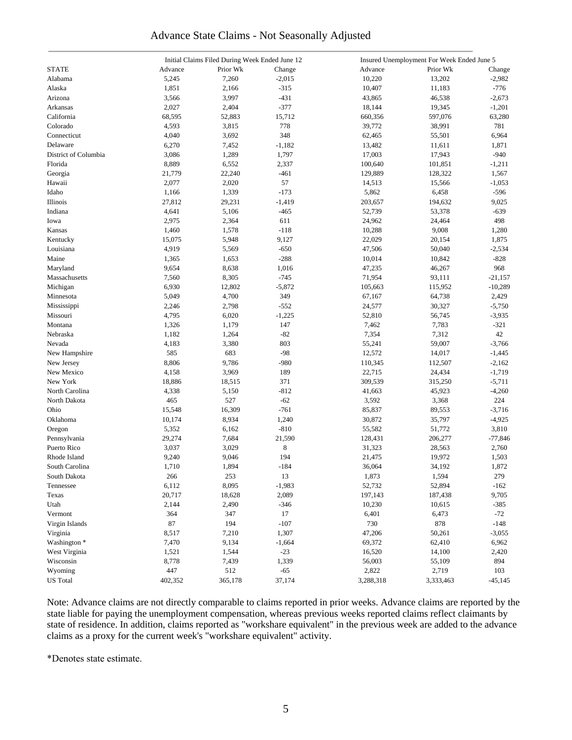### Advance State Claims - Not Seasonally Adjusted

|                         |         | Initial Claims Filed During Week Ended June 12 |             |           | Insured Unemployment For Week Ended June 5 |           |  |  |
|-------------------------|---------|------------------------------------------------|-------------|-----------|--------------------------------------------|-----------|--|--|
| <b>STATE</b>            | Advance | Prior Wk                                       | Change      | Advance   | Prior Wk                                   | Change    |  |  |
| Alabama                 | 5,245   | 7,260                                          | $-2,015$    | 10,220    | 13,202                                     | $-2,982$  |  |  |
| Alaska                  | 1,851   | 2,166                                          | $-315$      | 10,407    | 11,183                                     | $-776$    |  |  |
| Arizona                 | 3,566   | 3,997                                          | $-431$      | 43,865    | 46,538                                     | $-2,673$  |  |  |
| Arkansas                | 2,027   | 2,404                                          | $-377$      | 18,144    | 19,345                                     | $-1,201$  |  |  |
| California              | 68,595  | 52,883                                         | 15,712      | 660,356   | 597,076                                    | 63,280    |  |  |
| Colorado                | 4,593   | 3,815                                          | 778         | 39,772    | 38,991                                     | 781       |  |  |
| Connecticut             | 4,040   | 3,692                                          | 348         | 62,465    | 55,501                                     | 6,964     |  |  |
|                         |         |                                                |             |           |                                            |           |  |  |
| Delaware                | 6,270   | 7,452                                          | $-1,182$    | 13,482    | 11,611                                     | 1,871     |  |  |
| District of Columbia    | 3,086   | 1,289                                          | 1,797       | 17,003    | 17,943                                     | $-940$    |  |  |
| Florida                 | 8,889   | 6,552                                          | 2,337       | 100,640   | 101,851                                    | $-1,211$  |  |  |
| Georgia                 | 21,779  | 22,240                                         | $-461$      | 129,889   | 128,322                                    | 1,567     |  |  |
| Hawaii                  | 2,077   | 2,020                                          | 57          | 14,513    | 15,566                                     | $-1,053$  |  |  |
| Idaho                   | 1,166   | 1,339                                          | $-173$      | 5,862     | 6,458                                      | $-596$    |  |  |
| Illinois                | 27,812  | 29,231                                         | $-1,419$    | 203,657   | 194,632                                    | 9,025     |  |  |
| Indiana                 | 4,641   | 5,106                                          | $-465$      | 52,739    | 53,378                                     | $-639$    |  |  |
| Iowa                    | 2,975   | 2,364                                          | 611         | 24,962    | 24,464                                     | 498       |  |  |
| Kansas                  | 1,460   | 1,578                                          | $-118$      | 10,288    | 9,008                                      | 1,280     |  |  |
| Kentucky                | 15,075  | 5,948                                          | 9,127       | 22,029    | 20,154                                     | 1,875     |  |  |
| Louisiana               | 4,919   | 5,569                                          | $-650$      | 47,506    | 50,040                                     | $-2,534$  |  |  |
| Maine                   | 1,365   | 1,653                                          | $-288$      | 10,014    | 10,842                                     | $-828$    |  |  |
| Maryland                | 9,654   | 8,638                                          | 1,016       | 47,235    | 46,267                                     | 968       |  |  |
| Massachusetts           | 7,560   | 8,305                                          | $-745$      | 71,954    | 93,111                                     | $-21,157$ |  |  |
| Michigan                | 6,930   | 12,802                                         | $-5,872$    | 105,663   | 115,952                                    | $-10,289$ |  |  |
| Minnesota               | 5,049   | 4,700                                          | 349         | 67,167    | 64,738                                     | 2,429     |  |  |
| Mississippi             | 2,246   | 2,798                                          | $-552$      | 24,577    | 30,327                                     | $-5,750$  |  |  |
| Missouri                | 4,795   | 6,020                                          | $-1,225$    | 52,810    | 56,745                                     | $-3,935$  |  |  |
| Montana                 | 1,326   | 1,179                                          | 147         | 7,462     | 7,783                                      | $-321$    |  |  |
| Nebraska                | 1,182   | 1,264                                          | $-82$       | 7,354     | 7,312                                      | 42        |  |  |
| Nevada                  | 4,183   | 3,380                                          | 803         | 55,241    | 59,007                                     | $-3,766$  |  |  |
| New Hampshire           | 585     | 683                                            | $-98$       | 12,572    | 14,017                                     | $-1,445$  |  |  |
| New Jersey              | 8,806   | 9,786                                          | $-980$      | 110,345   | 112,507                                    | $-2,162$  |  |  |
| New Mexico              | 4,158   | 3,969                                          | 189         | 22,715    | 24,434                                     | $-1,719$  |  |  |
| New York                | 18,886  | 18,515                                         | 371         | 309,539   | 315,250                                    | $-5,711$  |  |  |
| North Carolina          | 4,338   | 5,150                                          | $-812$      | 41,663    | 45,923                                     | $-4,260$  |  |  |
| North Dakota            | 465     | 527                                            | $-62$       | 3,592     | 3,368                                      | 224       |  |  |
|                         |         |                                                |             |           |                                            |           |  |  |
| Ohio                    | 15,548  | 16,309                                         | $-761$      | 85,837    | 89,553                                     | $-3,716$  |  |  |
| Oklahoma                | 10,174  | 8,934                                          | 1,240       | 30,872    | 35,797                                     | $-4,925$  |  |  |
| Oregon                  | 5,352   | 6,162                                          | $-810$      | 55,582    | 51,772                                     | 3,810     |  |  |
| Pennsylvania            | 29,274  | 7,684                                          | 21,590      | 128,431   | 206,277                                    | $-77,846$ |  |  |
| Puerto Rico             | 3,037   | 3,029                                          | $\,$ 8 $\,$ | 31,323    | 28,563                                     | 2,760     |  |  |
| Rhode Island            | 9,240   | 9,046                                          | 194         | 21,475    | 19,972                                     | 1,503     |  |  |
| South Carolina          | 1,710   | 1,894                                          | $-184$      | 36,064    | 34,192                                     | 1,872     |  |  |
| South Dakota            | 266     | 253                                            | 13          | 1,873     | 1,594                                      | 279       |  |  |
| Tennessee               | 6,112   | 8,095                                          | $-1,983$    | 52,732    | 52,894                                     | $-162$    |  |  |
| Texas                   | 20,717  | 18,628                                         | 2,089       | 197,143   | 187,438                                    | 9,705     |  |  |
| Utah                    | 2,144   | 2,490                                          | $-346$      | 10,230    | 10,615                                     | $-385$    |  |  |
| Vermont                 | 364     | 347                                            | 17          | 6,401     | 6,473                                      | $-72$     |  |  |
| Virgin Islands          | 87      | 194                                            | $-107$      | 730       | 878                                        | $-148$    |  |  |
| Virginia                | 8,517   | 7,210                                          | 1,307       | 47,206    | 50,261                                     | $-3,055$  |  |  |
| Washington <sup>*</sup> | 7,470   | 9,134                                          | $-1,664$    | 69,372    | 62,410                                     | 6,962     |  |  |
| West Virginia           | 1,521   | 1,544                                          | $-23$       | 16,520    | 14,100                                     | 2,420     |  |  |
| Wisconsin               | 8,778   | 7,439                                          | 1,339       | 56,003    | 55,109                                     | 894       |  |  |
| Wyoming                 | 447     | 512                                            | $-65$       | 2,822     | 2,719                                      | 103       |  |  |
| <b>US</b> Total         | 402,352 | 365,178                                        | 37,174      | 3,288,318 | 3,333,463                                  | $-45,145$ |  |  |

Note: Advance claims are not directly comparable to claims reported in prior weeks. Advance claims are reported by the state liable for paying the unemployment compensation, whereas previous weeks reported claims reflect claimants by state of residence. In addition, claims reported as "workshare equivalent" in the previous week are added to the advance claims as a proxy for the current week's "workshare equivalent" activity.

\*Denotes state estimate.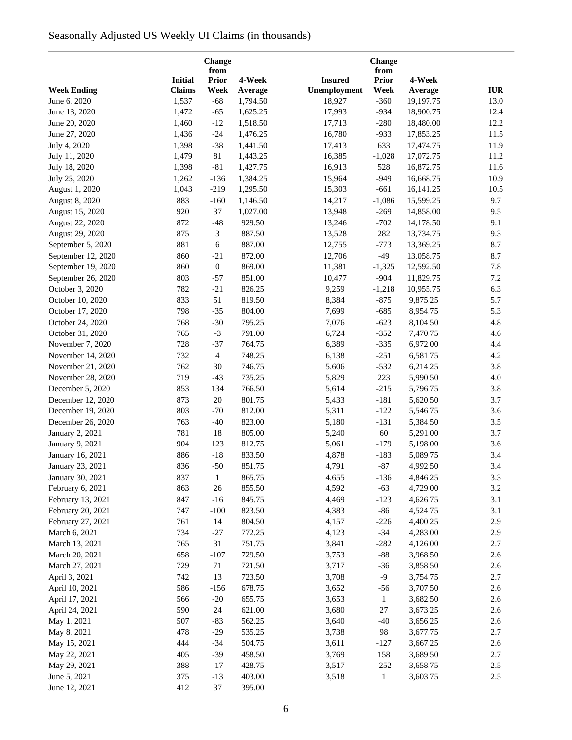# Seasonally Adjusted US Weekly UI Claims (in thousands)

|                    | <b>Initial</b> | Change<br>from<br><b>Prior</b> | 4-Week   | <b>Insured</b> | Change<br>from<br><b>Prior</b> | 4-Week    |            |
|--------------------|----------------|--------------------------------|----------|----------------|--------------------------------|-----------|------------|
| <b>Week Ending</b> | <b>Claims</b>  | Week                           | Average  | Unemployment   | Week                           | Average   | <b>IUR</b> |
| June 6, 2020       | 1,537          | $-68$                          | 1,794.50 | 18,927         | $-360$                         | 19,197.75 | 13.0       |
| June 13, 2020      | 1,472          | $-65$                          | 1,625.25 | 17,993         | $-934$                         | 18,900.75 | 12.4       |
| June 20, 2020      | 1,460          | $-12$                          | 1,518.50 | 17,713         | $-280$                         | 18,480.00 | 12.2       |
| June 27, 2020      | 1,436          | $-24$                          | 1,476.25 | 16,780         | $-933$                         | 17,853.25 | 11.5       |
| July 4, 2020       | 1,398          | $-38$                          | 1,441.50 | 17,413         | 633                            | 17,474.75 | 11.9       |
| July 11, 2020      | 1,479          | 81                             | 1,443.25 | 16,385         | $-1,028$                       | 17,072.75 | 11.2       |
| July 18, 2020      | 1,398          | $-81$                          | 1,427.75 | 16,913         | 528                            | 16,872.75 | 11.6       |
| July 25, 2020      | 1,262          | $-136$                         | 1,384.25 | 15,964         | $-949$                         | 16,668.75 | 10.9       |
| August 1, 2020     | 1,043          | $-219$                         | 1,295.50 | 15,303         | $-661$                         | 16,141.25 | 10.5       |
| August 8, 2020     | 883            | $-160$                         | 1,146.50 | 14,217         | $-1,086$                       | 15,599.25 | 9.7        |
| August 15, 2020    | 920            | 37                             | 1,027.00 | 13,948         | $-269$                         | 14,858.00 | 9.5        |
| August 22, 2020    | 872            | $-48$                          | 929.50   | 13,246         | $-702$                         | 14,178.50 | 9.1        |
| August 29, 2020    | 875            | 3                              | 887.50   | 13,528         | 282                            | 13,734.75 | 9.3        |
| September 5, 2020  | 881            | 6                              | 887.00   | 12,755         | $-773$                         | 13,369.25 | 8.7        |
| September 12, 2020 | 860            | $-21$                          | 872.00   | 12,706         | $-49$                          | 13,058.75 | 8.7        |
| September 19, 2020 | 860            | $\boldsymbol{0}$               | 869.00   | 11,381         | $-1,325$                       | 12,592.50 | 7.8        |
| September 26, 2020 | 803            | $-57$                          | 851.00   | 10,477         | $-904$                         | 11,829.75 | 7.2        |
| October 3, 2020    | 782            | $-21$                          | 826.25   | 9,259          | $-1,218$                       | 10,955.75 | 6.3        |
| October 10, 2020   | 833            | 51                             | 819.50   | 8,384          | $-875$                         | 9,875.25  | 5.7        |
| October 17, 2020   | 798            | $-35$                          | 804.00   | 7,699          | $-685$                         | 8,954.75  | 5.3        |
| October 24, 2020   | 768            | $-30$                          | 795.25   | 7,076          | $-623$                         | 8,104.50  | 4.8        |
| October 31, 2020   | 765            | $-3$                           | 791.00   | 6,724          | $-352$                         | 7,470.75  | 4.6        |
| November 7, 2020   | 728            | $-37$                          | 764.75   | 6,389          | $-335$                         | 6,972.00  | 4.4        |
| November 14, 2020  | 732            | $\overline{4}$                 | 748.25   | 6,138          | $-251$                         | 6,581.75  | 4.2        |
| November 21, 2020  | 762            | 30                             | 746.75   | 5,606          | $-532$                         | 6,214.25  | 3.8        |
| November 28, 2020  | 719            | $-43$                          | 735.25   | 5,829          | 223                            | 5,990.50  | 4.0        |
| December 5, 2020   | 853            | 134                            | 766.50   | 5,614          | $-215$                         | 5,796.75  | 3.8        |
| December 12, 2020  | 873            | $20\,$                         | 801.75   | 5,433          | $-181$                         | 5,620.50  | 3.7        |
| December 19, 2020  | 803            | $-70$                          | 812.00   | 5,311          | $-122$                         | 5,546.75  | 3.6        |
| December 26, 2020  | 763            | $-40$                          | 823.00   | 5,180          | $-131$                         | 5,384.50  | 3.5        |
| January 2, 2021    | 781            | 18                             | 805.00   | 5,240          | 60                             | 5,291.00  | 3.7        |
| January 9, 2021    | 904            | 123                            | 812.75   | 5,061          | $-179$                         | 5,198.00  | 3.6        |
| January 16, 2021   | 886            | $-18$                          | 833.50   | 4,878          | $-183$                         | 5,089.75  | 3.4        |
| January 23, 2021   | 836            | $-50$                          | 851.75   | 4,791          | $-87$                          | 4,992.50  | 3.4        |
| January 30, 2021   | 837            | $\mathbf{1}$                   | 865.75   | 4,655          | $-136$                         | 4,846.25  | 3.3        |
| February 6, 2021   | 863            | $26\,$                         | 855.50   | 4,592          | $-63$                          | 4,729.00  | 3.2        |
| February 13, 2021  | 847            | $-16$                          | 845.75   | 4,469          | $-123$                         | 4,626.75  | 3.1        |
| February 20, 2021  | 747            | $-100$                         | 823.50   | 4,383          | $-86$                          | 4,524.75  | 3.1        |
| February 27, 2021  | 761            | 14                             | 804.50   | 4,157          | $-226$                         | 4,400.25  | 2.9        |
| March 6, 2021      | 734            | $-27$                          | 772.25   | 4,123          | $-34$                          | 4,283.00  | 2.9        |
| March 13, 2021     | 765            | 31                             | 751.75   | 3,841          | $-282$                         | 4,126.00  | 2.7        |
| March 20, 2021     | 658            | $-107$                         | 729.50   | 3,753          | $\mbox{-}88$                   | 3,968.50  | 2.6        |
| March 27, 2021     | 729            | 71                             | 721.50   | 3,717          | $-36$                          | 3,858.50  | 2.6        |
| April 3, 2021      | 742            | 13                             | 723.50   | 3,708          | $-9$                           | 3,754.75  | 2.7        |
| April 10, 2021     | 586            | $-156$                         | 678.75   | 3,652          | $-56$                          | 3,707.50  | 2.6        |
| April 17, 2021     | 566            | $-20$                          | 655.75   | 3,653          | $\mathbf{1}$                   | 3,682.50  | 2.6        |
| April 24, 2021     | 590            | 24                             | 621.00   | 3,680          | 27                             | 3,673.25  | 2.6        |
| May 1, 2021        | 507            | $-83$                          | 562.25   | 3,640          | $-40$                          | 3,656.25  | 2.6        |
| May 8, 2021        | 478            | $-29$                          | 535.25   | 3,738          | 98                             | 3,677.75  | 2.7        |
| May 15, 2021       | 444            | $-34$                          | 504.75   | 3,611          | $-127$                         | 3,667.25  | 2.6        |
| May 22, 2021       | 405            | $-39$                          | 458.50   | 3,769          | 158                            | 3,689.50  | 2.7        |
| May 29, 2021       | 388            | $-17$                          | 428.75   | 3,517          | $-252$                         | 3,658.75  | $2.5\,$    |
| June 5, 2021       | 375            | $-13$                          | 403.00   | 3,518          | $\mathbf{1}$                   | 3,603.75  | 2.5        |
| June 12, 2021      | 412            | 37                             | 395.00   |                |                                |           |            |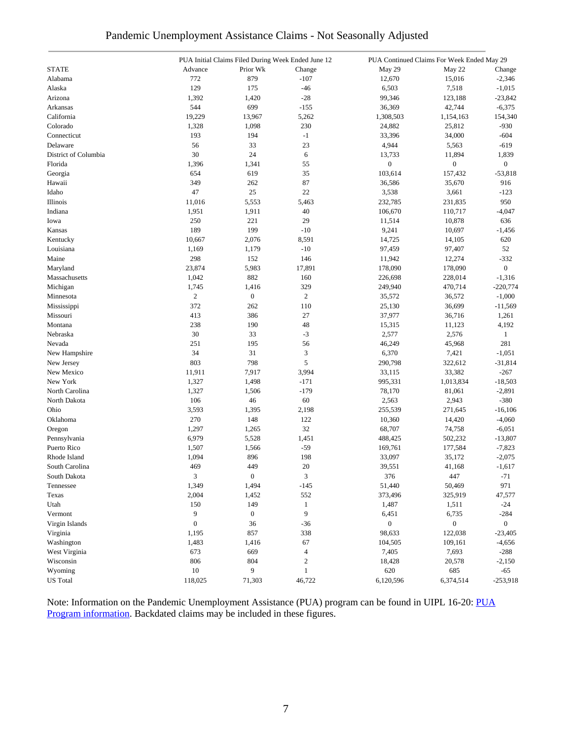### Pandemic Unemployment Assistance Claims - Not Seasonally Adjusted

|                      |                  | PUA Initial Claims Filed During Week Ended June 12 |                | PUA Continued Claims For Week Ended May 29 |                  |                |  |
|----------------------|------------------|----------------------------------------------------|----------------|--------------------------------------------|------------------|----------------|--|
| <b>STATE</b>         | Advance          | Prior Wk                                           | Change         | May 29                                     | May 22           | Change         |  |
| Alabama              | 772              | 879                                                | $-107$         | 12,670                                     | 15,016           | $-2,346$       |  |
| Alaska               | 129              | 175                                                | $-46$          | 6,503                                      | 7,518            | $-1,015$       |  |
| Arizona              | 1,392            | 1,420                                              | $-28$          | 99,346                                     | 123,188          | $-23,842$      |  |
| Arkansas             | 544              | 699                                                | $-155$         | 36,369                                     | 42,744           | $-6,375$       |  |
| California           | 19,229           | 13,967                                             | 5,262          | 1,308,503                                  | 1,154,163        | 154,340        |  |
| Colorado             | 1,328            | 1,098                                              | 230            | 24,882                                     | 25,812           | $-930$         |  |
| Connecticut          | 193              | 194                                                | $-1$           | 33,396                                     | 34,000           | $-604$         |  |
| Delaware             | 56               | 33                                                 | 23             | 4,944                                      | 5,563            | $-619$         |  |
| District of Columbia | 30               | 24                                                 | 6              | 13,733                                     | 11,894           | 1,839          |  |
| Florida              | 1,396            | 1,341                                              | 55             | $\boldsymbol{0}$                           | $\boldsymbol{0}$ | $\mathbf{0}$   |  |
| Georgia              | 654              | 619                                                | 35             | 103,614                                    | 157,432          | $-53,818$      |  |
| Hawaii               | 349              | 262                                                | 87             | 36,586                                     | 35,670           | 916            |  |
| Idaho                | 47               | 25                                                 | 22             | 3,538                                      | 3,661            | $-123$         |  |
| Illinois             | 11,016           | 5,553                                              | 5,463          | 232,785                                    | 231,835          | 950            |  |
| Indiana              | 1,951            | 1,911                                              | 40             | 106,670                                    | 110,717          | $-4,047$       |  |
|                      |                  |                                                    |                |                                            |                  |                |  |
| Iowa                 | 250              | 221                                                | 29             | 11,514                                     | 10,878           | 636            |  |
| Kansas               | 189              | 199                                                | $-10$          | 9,241                                      | 10,697           | $-1,456$       |  |
| Kentucky             | 10,667           | 2,076                                              | 8,591          | 14,725                                     | 14,105           | 620            |  |
| Louisiana            | 1,169            | 1,179                                              | $-10$          | 97,459                                     | 97,407           | 52             |  |
| Maine                | 298              | 152                                                | 146            | 11,942                                     | 12,274           | $-332$         |  |
| Maryland             | 23,874           | 5,983                                              | 17,891         | 178,090                                    | 178,090          | $\mathbf{0}$   |  |
| Massachusetts        | 1,042            | 882                                                | 160            | 226,698                                    | 228,014          | $-1,316$       |  |
| Michigan             | 1,745            | 1,416                                              | 329            | 249,940                                    | 470,714          | $-220,774$     |  |
| Minnesota            | $\mathbf{2}$     | $\boldsymbol{0}$                                   | $\overline{c}$ | 35,572                                     | 36,572           | $-1,000$       |  |
| Mississippi          | 372              | 262                                                | 110            | 25,130                                     | 36,699           | $-11,569$      |  |
| Missouri             | 413              | 386                                                | 27             | 37,977                                     | 36,716           | 1,261          |  |
| Montana              | 238              | 190                                                | 48             | 15,315                                     | 11,123           | 4,192          |  |
| Nebraska             | 30               | 33                                                 | $-3$           | 2,577                                      | 2,576            | $\mathbf{1}$   |  |
| Nevada               | 251              | 195                                                | 56             | 46,249                                     | 45,968           | 281            |  |
| New Hampshire        | 34               | 31                                                 | $\mathfrak{Z}$ | 6,370                                      | 7,421            | $-1,051$       |  |
| New Jersey           | 803              | 798                                                | 5              | 290,798                                    | 322,612          | $-31,814$      |  |
| New Mexico           | 11,911           | 7,917                                              | 3,994          | 33,115                                     | 33,382           | $-267$         |  |
| New York             | 1,327            | 1,498                                              | $-171$         | 995,331                                    | 1,013,834        | $-18,503$      |  |
| North Carolina       | 1,327            | 1,506                                              | $-179$         | 78,170                                     | 81,061           | $-2,891$       |  |
| North Dakota         | 106              | 46                                                 | 60             | 2,563                                      | 2,943            | $-380$         |  |
| Ohio                 | 3,593            | 1,395                                              | 2,198          | 255,539                                    | 271,645          | $-16,106$      |  |
| Oklahoma             | 270              | 148                                                | 122            | 10,360                                     | 14,420           | $-4,060$       |  |
| Oregon               | 1,297            | 1,265                                              | 32             | 68,707                                     | 74,758           | $-6,051$       |  |
| Pennsylvania         | 6,979            | 5,528                                              | 1,451          | 488,425                                    | 502,232          | $-13,807$      |  |
| Puerto Rico          | 1,507            | 1,566                                              | $-59$          | 169,761                                    | 177,584          | $-7,823$       |  |
| Rhode Island         | 1,094            | 896                                                | 198            | 33,097                                     | 35,172           | $-2,075$       |  |
| South Carolina       | 469              | 449                                                | 20             | 39,551                                     | 41,168           | $-1,617$       |  |
| South Dakota         | 3                | $\boldsymbol{0}$                                   | $\mathfrak{Z}$ | 376                                        | 447              | $-71$          |  |
| Tennessee            | 1,349            | 1,494                                              | $-145$         | 51,440                                     | 50,469           | 971            |  |
| Texas                | 2,004            | 1,452                                              | 552            | 373,496                                    | 325,919          | 47,577         |  |
| Utah                 | 150              | 149                                                | $\mathbf{1}$   | 1,487                                      | 1,511            | $-24$          |  |
| Vermont              | 9                | $\mathbf{0}$                                       | 9              | 6,451                                      | 6,735            | $-284$         |  |
| Virgin Islands       | $\boldsymbol{0}$ | 36                                                 | $-36$          | $\boldsymbol{0}$                           | $\overline{0}$   | $\overline{0}$ |  |
| Virginia             | 1,195            | 857                                                | 338            | 98,633                                     | 122,038          | $-23,405$      |  |
| Washington           | 1,483            | 1,416                                              | 67             | 104,505                                    | 109,161          | $-4,656$       |  |
| West Virginia        | 673              | 669                                                | $\overline{4}$ | 7,405                                      | 7,693            | $-288$         |  |
| Wisconsin            | 806              | 804                                                | $\sqrt{2}$     | 18,428                                     | 20,578           | $-2,150$       |  |
| Wyoming              | 10               | 9                                                  | $\mathbf{1}$   | 620                                        | 685              | $-65$          |  |
| <b>US</b> Total      | 118,025          | 71,303                                             | 46,722         | 6,120,596                                  | 6,374,514        | $-253,918$     |  |
|                      |                  |                                                    |                |                                            |                  |                |  |

Note: Information on the Pandemic Unemployment Assistance (PUA) program can be found in UIPL 16-20: PUA [Program information.](https://wdr.doleta.gov/directives/corr_doc.cfm?DOCN=4628) Backdated claims may be included in these figures.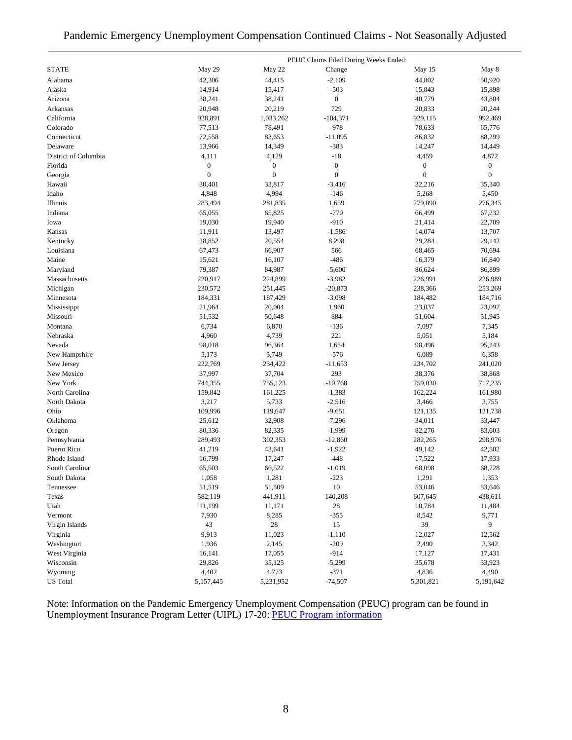|                      |                  |                  | PEUC Claims Filed During Weeks Ended: |                  |                  |
|----------------------|------------------|------------------|---------------------------------------|------------------|------------------|
| <b>STATE</b>         | May 29           | May 22           | Change                                | May 15           | May 8            |
| Alabama              | 42,306           | 44,415           | $-2,109$                              | 44,802           | 50,920           |
| Alaska               | 14,914           | 15,417           | $-503$                                | 15,843           | 15,898           |
| Arizona              | 38,241           | 38,241           | $\boldsymbol{0}$                      | 40,779           | 43,804           |
| Arkansas             | 20,948           | 20,219           | 729                                   | 20,833           | 20,244           |
| California           | 928,891          | 1,033,262        | $-104,371$                            | 929,115          | 992,469          |
| Colorado             | 77,513           | 78,491           | $-978$                                | 78,633           | 65,776           |
| Connecticut          | 72,558           | 83,653           | $-11,095$                             | 86,832           | 88,299           |
| Delaware             | 13,966           | 14,349           | $-383$                                | 14,247           | 14,449           |
| District of Columbia | 4,111            | 4,129            | $-18$                                 | 4,459            | 4,872            |
| Florida              | $\boldsymbol{0}$ | $\boldsymbol{0}$ | $\boldsymbol{0}$                      | $\boldsymbol{0}$ | $\boldsymbol{0}$ |
| Georgia              | $\mathbf{0}$     | $\boldsymbol{0}$ | $\boldsymbol{0}$                      | $\boldsymbol{0}$ | $\boldsymbol{0}$ |
| Hawaii               | 30,401           | 33,817           | $-3,416$                              | 32,216           | 35,340           |
| Idaho                | 4,848            | 4,994            | $-146$                                | 5,268            | 5,450            |
| Illinois             | 283,494          | 281,835          | 1,659                                 | 279,090          | 276,345          |
| Indiana              | 65,055           | 65,825           | $-770$                                | 66,499           | 67,232           |
| Iowa                 | 19,030           | 19,940           | $-910$                                | 21,414           | 22,709           |
| Kansas               | 11,911           | 13,497           | $-1,586$                              | 14,074           | 13,707           |
| Kentucky             | 28,852           | 20,554           | 8,298                                 | 29,284           | 29,142           |
| Louisiana            | 67,473           | 66,907           | 566                                   | 68,465           | 70,694           |
| Maine                | 15,621           | 16,107           | $-486$                                | 16,379           | 16,840           |
| Maryland             | 79,387           | 84,987           | $-5,600$                              | 86,624           | 86,899           |
| Massachusetts        | 220,917          | 224,899          | $-3,982$                              | 226,991          | 226,989          |
| Michigan             | 230,572          | 251,445          | $-20,873$                             | 238,366          | 253,269          |
| Minnesota            | 184,331          | 187,429          | $-3,098$                              | 184,482          | 184,716          |
| Mississippi          | 21,964           | 20,004           | 1,960                                 | 23,037           | 23,097           |
| Missouri             | 51,532           | 50,648           | 884                                   | 51,604           | 51,945           |
| Montana              | 6,734            | 6,870            | $-136$                                | 7,097            | 7,345            |
| Nebraska             | 4,960            | 4,739            | 221                                   | 5,051            | 5,184            |
| Nevada               | 98,018           | 96,364           | 1,654                                 | 98,496           | 95,243           |
| New Hampshire        | 5,173            | 5,749            | $-576$                                | 6,089            | 6,358            |
| New Jersey           | 222,769          | 234,422          | $-11,653$                             | 234,702          | 241,020          |
| New Mexico           | 37,997           | 37,704           | 293                                   | 38,376           | 38,868           |
| New York             | 744,355          | 755,123          | $-10,768$                             | 759,030          | 717,235          |
| North Carolina       | 159,842          | 161,225          | $-1,383$                              | 162,224          | 161,980          |
| North Dakota         | 3,217            | 5,733            | $-2,516$                              | 3,466            | 3,755            |
| Ohio                 | 109,996          | 119,647          | $-9,651$                              | 121,135          | 121,738          |
| Oklahoma             | 25,612           | 32,908           | $-7,296$                              | 34,011           | 33,447           |
| Oregon               | 80,336           | 82,335           | $-1,999$                              | 82,276           | 83,603           |
| Pennsylvania         | 289,493          | 302,353          | $-12,860$                             | 282,265          | 298,976          |
| Puerto Rico          | 41,719           | 43,641           | $-1,922$                              | 49,142           | 42,502           |
| Rhode Island         | 16,799           | 17,247           | $-448$                                | 17,522           | 17,933           |
| South Carolina       | 65,503           | 66,522           | $-1,019$                              | 68,098           | 68,728           |
| South Dakota         | 1,058            | 1,281            | $-223$                                | 1,291            | 1,353            |
| Tennessee            | 51,519           | 51,509           | $10\,$                                | 53,046           | 53,646           |
| Texas                | 582,119          | 441,911          | 140,208                               | 607,645          | 438,611          |
| Utah                 | 11,199           | 11,171           | $28\,$                                | 10,784           | 11,484           |
| Vermont              | 7,930            | 8,285            | $-355$                                | 8,542            | 9,771            |
| Virgin Islands       | 43               | $28\,$           | 15                                    | 39               | 9                |
| Virginia             | 9,913            | 11,023           | $-1,110$                              | 12,027           | 12,562           |
| Washington           | 1,936            | 2,145            | $-209$                                | 2,490            | 3,342            |
| West Virginia        | 16,141           | 17,055           | $-914$                                | 17,127           | 17,431           |
| Wisconsin            | 29,826           | 35,125           | $-5,299$                              | 35,678           | 33,923           |
| Wyoming              | 4,402            | 4,773            | $-371$                                | 4,836            | 4,490            |
| <b>US</b> Total      | 5,157,445        | 5,231,952        | $-74,507$                             | 5,301,821        | 5,191,642        |
|                      |                  |                  |                                       |                  |                  |

Note: Information on the Pandemic Emergency Unemployment Compensation (PEUC) program can be found in Unemployment Insurance Program Letter (UIPL) 17-20: [PEUC Program information](https://wdr.doleta.gov/directives/corr_doc.cfm?DOCN=8452)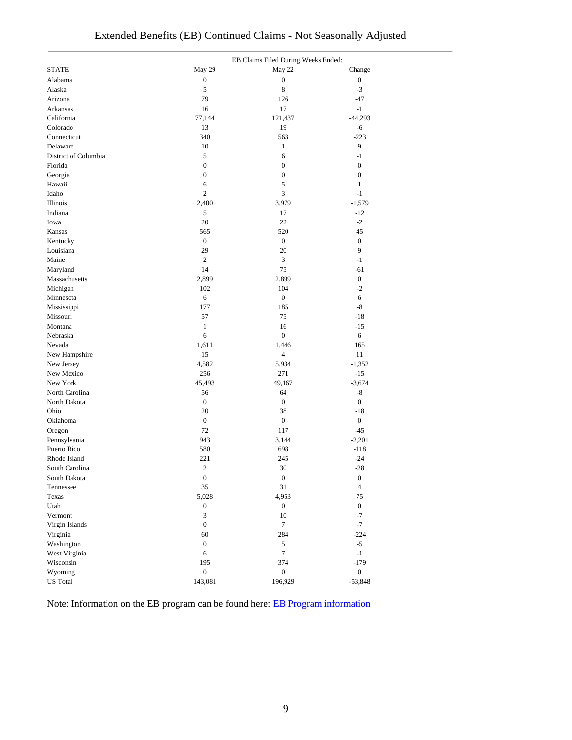|                      | EB Claims Filed During Weeks Ended: |                  |                  |  |  |  |
|----------------------|-------------------------------------|------------------|------------------|--|--|--|
| <b>STATE</b>         | May 29                              | May 22           | Change           |  |  |  |
| Alabama              | $\boldsymbol{0}$                    | $\boldsymbol{0}$ | $\boldsymbol{0}$ |  |  |  |
| Alaska               | 5                                   | 8                | $-3$             |  |  |  |
| Arizona              | 79                                  | 126              | $-47$            |  |  |  |
| Arkansas             | 16                                  | 17               | $-1$             |  |  |  |
| California           | 77,144                              | 121,437          | $-44,293$        |  |  |  |
| Colorado             | 13                                  | 19               | $-6$             |  |  |  |
| Connecticut          | 340                                 | 563              | $-223$           |  |  |  |
| Delaware             | 10                                  | $\mathbf{1}$     | 9                |  |  |  |
| District of Columbia | 5                                   | 6                | $-1$             |  |  |  |
| Florida              | $\boldsymbol{0}$                    | $\boldsymbol{0}$ | $\boldsymbol{0}$ |  |  |  |
| Georgia              | $\boldsymbol{0}$                    | $\mathbf{0}$     | $\boldsymbol{0}$ |  |  |  |
| Hawaii               | 6                                   | 5                | 1                |  |  |  |
| Idaho                | 2                                   | 3                | $-1$             |  |  |  |
| Illinois             | 2,400                               | 3,979            | $-1,579$         |  |  |  |
| Indiana              | 5                                   | 17               | $-12$            |  |  |  |
| Iowa                 | 20                                  | 22               | $-2$             |  |  |  |
| Kansas               | 565                                 | 520              | 45               |  |  |  |
| Kentucky             | $\boldsymbol{0}$                    | $\boldsymbol{0}$ | $\boldsymbol{0}$ |  |  |  |
| Louisiana            | 29                                  | 20               | 9                |  |  |  |
| Maine                | $\overline{c}$                      | 3                | $-1$             |  |  |  |
| Maryland             | 14                                  | 75               | $-61$            |  |  |  |
| Massachusetts        | 2,899                               | 2,899            | $\boldsymbol{0}$ |  |  |  |
| Michigan             | 102                                 | 104              | $-2$             |  |  |  |
| Minnesota            | 6                                   | $\boldsymbol{0}$ | 6                |  |  |  |
| Mississippi          | 177                                 | 185              | $-8$             |  |  |  |
| Missouri             | 57                                  | 75               | $-18$            |  |  |  |
| Montana              | $\mathbf{1}$                        | 16               | $-15$            |  |  |  |
| Nebraska             | 6                                   | $\boldsymbol{0}$ | 6                |  |  |  |
| Nevada               | 1,611                               | 1,446            | 165              |  |  |  |
| New Hampshire        | 15                                  | $\overline{4}$   | 11               |  |  |  |
| New Jersey           | 4,582                               | 5,934            | $-1,352$         |  |  |  |
| New Mexico           | 256                                 | 271              | $-15$            |  |  |  |
| New York             | 45,493                              | 49,167           | $-3,674$         |  |  |  |
| North Carolina       | 56                                  | 64               | $-8$             |  |  |  |
| North Dakota         | $\boldsymbol{0}$                    | $\boldsymbol{0}$ | $\boldsymbol{0}$ |  |  |  |
| Ohio                 | 20                                  | 38               | $-18$            |  |  |  |
| Oklahoma             | $\boldsymbol{0}$                    | $\boldsymbol{0}$ | $\boldsymbol{0}$ |  |  |  |
| Oregon               | 72                                  | 117              | $-45$            |  |  |  |
| Pennsylvania         | 943                                 | 3,144            | $-2,201$         |  |  |  |
| Puerto Rico          | 580                                 | 698              | $-118$           |  |  |  |
| Rhode Island         | 221                                 | 245              | $-24$            |  |  |  |
| South Carolina       | $\overline{2}$                      | 30               | $-28$            |  |  |  |
| South Dakota         | $\boldsymbol{0}$                    | $\boldsymbol{0}$ | $\boldsymbol{0}$ |  |  |  |
| Tennessee            | 35                                  | 31               | $\overline{4}$   |  |  |  |
| Texas                | 5,028                               | 4,953            | 75               |  |  |  |
| Utah                 | $\boldsymbol{0}$                    | $\boldsymbol{0}$ | $\overline{0}$   |  |  |  |
| Vermont              | 3                                   | $10\,$           | $-7$             |  |  |  |
| Virgin Islands       | $\boldsymbol{0}$                    | $\tau$           | $-7$             |  |  |  |
| Virginia             | 60                                  | 284              | $-224$           |  |  |  |
| Washington           | $\mathbf{0}$                        | 5                | $-5$             |  |  |  |
| West Virginia        | 6                                   | $\overline{7}$   | $-1$             |  |  |  |
| Wisconsin            | 195                                 | 374              | $-179$           |  |  |  |
| Wyoming              | $\boldsymbol{0}$                    | $\boldsymbol{0}$ | $\boldsymbol{0}$ |  |  |  |
| <b>US</b> Total      | 143,081                             | 196,929          | $-53,848$        |  |  |  |

Note: Information on the EB program can be found here: [EB Program information](https://oui.doleta.gov/unemploy/extenben.asp)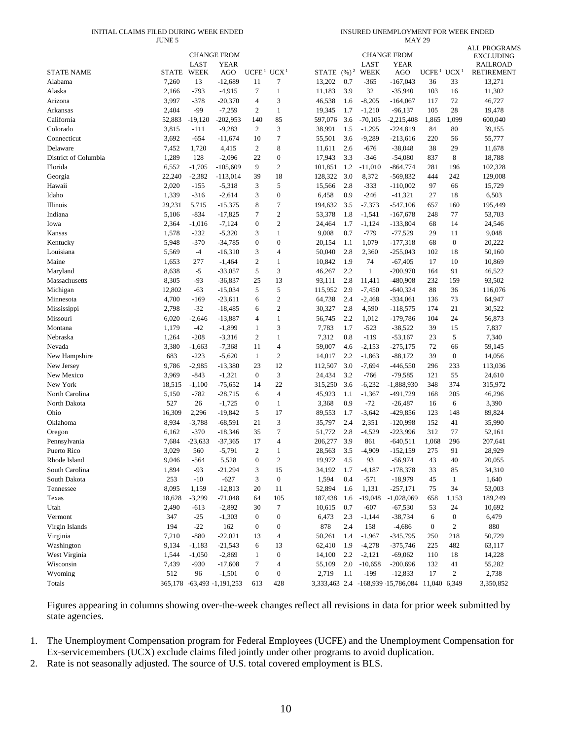#### INITIAL CLAIMS FILED DURING WEEK ENDED JUNE 5

INSURED UNEMPLOYMENT FOR WEEK ENDED MAY 29

|                      |                |              |                            |                                    |                          |                  |                   |                       |                                                 |                                    |                  | <b>ALL PROGRAMS</b> |
|----------------------|----------------|--------------|----------------------------|------------------------------------|--------------------------|------------------|-------------------|-----------------------|-------------------------------------------------|------------------------------------|------------------|---------------------|
|                      |                |              | <b>CHANGE FROM</b>         |                                    |                          |                  |                   |                       | <b>CHANGE FROM</b>                              |                                    |                  | <b>EXCLUDING</b>    |
|                      |                | LAST         | <b>YEAR</b>                |                                    |                          | <b>STATE</b>     |                   | LAST                  | YEAR                                            |                                    |                  | <b>RAILROAD</b>     |
| <b>STATE NAME</b>    | STATE          | WEEK         | AGO                        | UCFE <sup>1</sup> UCX <sup>1</sup> |                          |                  | $(\frac{9}{6})^2$ | <b>WEEK</b>           | AGO                                             | UCFE <sup>1</sup> UCX <sup>1</sup> |                  | <b>RETIREMENT</b>   |
| Alabama              | 7,260          | 13<br>$-793$ | $-12,689$                  | 11<br>7                            | 7                        | 13,202           | 0.7<br>3.9        | $-365$                | $-167,043$<br>$-35,940$                         | 36                                 | 33               | 13,271              |
| Alaska               | 2,166<br>3,997 | $-378$       | $-4,915$<br>$-20,370$      | 4                                  | $\mathbf{1}$<br>3        | 11,183<br>46,538 |                   | 32<br>$-8,205$        |                                                 | 103<br>117                         | 16               | 11,302<br>46,727    |
| Arizona<br>Arkansas  | 2,404          | $-99$        | $-7,259$                   | $\overline{c}$                     | $\mathbf{1}$             | 19,345           | 1.6<br>1.7        |                       | $-164,067$                                      | 105                                | 72<br>28         | 19,478              |
| California           | 52,883         | $-19,120$    | $-202,953$                 | 140                                | 85                       | 597,076          | 3.6               | $-1,210$<br>$-70,105$ | $-96,137$<br>$-2,215,408$                       | 1,865                              | 1,099            | 600,040             |
| Colorado             | 3,815          | $-111$       | $-9,283$                   | 2                                  | 3                        | 38,991           | 1.5               | $-1,295$              | $-224,819$                                      | 84                                 | 80               | 39,155              |
| Connecticut          | 3,692          | $-654$       | $-11,674$                  | 10                                 | $\tau$                   | 55,501           | 3.6               | $-9,289$              | $-213,616$                                      | 220                                | 56               | 55,777              |
| Delaware             | 7,452          | 1,720        | 4,415                      | $\overline{c}$                     | 8                        | 11,611           | 2.6               | $-676$                | $-38,048$                                       | 38                                 | 29               | 11,678              |
| District of Columbia | 1,289          | 128          | $-2,096$                   | 22                                 | $\boldsymbol{0}$         | 17,943           | 3.3               | $-346$                | $-54,080$                                       | 837                                | $\,$ 8 $\,$      | 18,788              |
| Florida              | 6,552          | $-1,705$     | $-105,609$                 | 9                                  | $\sqrt{2}$               | 101,851          | 1.2               | $-11,010$             | $-864,774$                                      | 281                                | 196              | 102,328             |
| Georgia              | 22,240         | $-2,382$     | $-113,014$                 | 39                                 | 18                       | 128,322          | 3.0               | 8,372                 | $-569,832$                                      | 444                                | 242              | 129,008             |
| Hawaii               | 2,020          | $-155$       | $-5,318$                   | 3                                  | 5                        | 15,566           | 2.8               | $-333$                | $-110,002$                                      | 97                                 | 66               | 15,729              |
| Idaho                | 1,339          | $-316$       | $-2,614$                   | 3                                  | $\boldsymbol{0}$         | 6,458            | 0.9               | $-246$                | $-41,321$                                       | 27                                 | 18               | 6,503               |
| Illinois             | 29,231         | 5,715        | $-15,375$                  | 8                                  | 7                        | 194,632          | 3.5               | $-7,373$              | $-547,106$                                      | 657                                | 160              | 195,449             |
| Indiana              | 5,106          | $-834$       | $-17,825$                  | 7                                  | $\overline{c}$           | 53,378           | 1.8               | $-1,541$              | $-167,678$                                      | 248                                | 77               | 53,703              |
| Iowa                 | 2,364          | $-1,016$     | $-7,124$                   | $\boldsymbol{0}$                   | $\sqrt{2}$               | 24,464           | 1.7               | $-1,124$              | $-133,804$                                      | 68                                 | 14               | 24,546              |
| Kansas               | 1,578          | $-232$       | $-5,320$                   | 3                                  | $\mathbf{1}$             | 9,008            | 0.7               | $-779$                | $-77,529$                                       | 29                                 | 11               | 9,048               |
| Kentucky             | 5,948          | $-370$       | $-34,785$                  | $\overline{0}$                     | $\mathbf{0}$             | 20,154           | 1.1               | 1,079                 | $-177,318$                                      | 68                                 | $\boldsymbol{0}$ | 20,222              |
| Louisiana            | 5,569          | $-4$         | $-16,310$                  | 3                                  | 4                        | 50,040           | 2.8               | 2,360                 | $-255,043$                                      | 102                                | 18               | 50,160              |
| Maine                | 1,653          | 277          | $-1,464$                   | $\mathfrak{2}$                     | $\mathbf{1}$             | 10,842           | 1.9               | 74                    | $-67,405$                                       | 17                                 | 10               | 10,869              |
| Maryland             | 8,638          | $-5$         | $-33,057$                  | 5                                  | 3                        | 46,267           | 2.2               | $\mathbf{1}$          | $-200,970$                                      | 164                                | 91               | 46,522              |
| Massachusetts        | 8,305          | $-93$        | $-36,837$                  | 25                                 | 13                       | 93,111           | 2.8               | 11,411                | $-480,908$                                      | 232                                | 159              | 93,502              |
| Michigan             | 12,802         | $-63$        | $-15,034$                  | 5                                  | 5                        | 115,952          | 2.9               | $-7,450$              | $-640,324$                                      | 88                                 | 36               | 116,076             |
| Minnesota            | 4,700          | $-169$       | $-23,611$                  | 6                                  | $\overline{2}$           | 64,738           | 2.4               | $-2,468$              | $-334,061$                                      | 136                                | 73               | 64,947              |
| Mississippi          | 2,798          | $-32$        | $-18,485$                  | 6                                  | $\overline{c}$           | 30,327           | 2.8               | 4,590                 | $-118,575$                                      | 174                                | 21               | 30,522              |
| Missouri             | 6,020          | $-2,646$     | $-13,887$                  | 4                                  | $\mathbf{1}$             | 56,745           | 2.2               | 1,012                 | $-179,786$                                      | 104                                | 24               | 56,873              |
| Montana              | 1,179          | $-42$        | $-1,899$                   | 1                                  | 3                        | 7,783            | 1.7               | $-523$                | $-38,522$                                       | 39                                 | 15               | 7,837               |
| Nebraska             | 1,264          | $-208$       | $-3,316$                   | 2                                  | 1                        | 7,312            | 0.8               | $-119$                | $-53,167$                                       | 23                                 | 5                | 7,340               |
| Nevada               | 3,380          | $-1,663$     | $-7,368$                   | 11                                 | $\overline{4}$           | 59,007           | 4.6               | $-2,153$              | $-275,175$                                      | 72                                 | 66               | 59,145              |
| New Hampshire        | 683            | $-223$       | $-5,620$                   | $\mathbf{1}$                       | $\boldsymbol{2}$         | 14,017           | 2.2               | $-1,863$              | $-88,172$                                       | 39                                 | $\boldsymbol{0}$ | 14,056              |
| New Jersey           | 9,786          | $-2,985$     | $-13,380$                  | 23                                 | 12                       | 112,507          | 3.0               | $-7,694$              | $-446,550$                                      | 296                                | 233              | 113,036             |
| New Mexico           | 3,969          | $-843$       | $-1,321$                   | $\boldsymbol{0}$                   | 3                        | 24,434           | 3.2               | $-766$                | $-79,585$                                       | 121                                | 55               | 24,610              |
| New York             | 18,515         | $-1,100$     | $-75,652$                  | 14                                 | 22                       | 315,250          | 3.6               | $-6,232$              | $-1,888,930$                                    | 348                                | 374              | 315,972             |
| North Carolina       | 5,150          | $-782$       | $-28,715$                  | 6                                  | $\overline{4}$           | 45,923           | 1.1               | $-1,367$              | $-491,729$                                      | 168                                | 205              | 46,296              |
| North Dakota         | 527            | 26           | $-1,725$                   | $\boldsymbol{0}$                   | 1                        | 3,368            | 0.9               | $-72$                 | $-26,487$                                       | 16                                 | 6                | 3,390               |
| Ohio                 | 16,309         | 2,296        | $-19,842$                  | 5                                  | 17                       | 89,553           | 1.7               | $-3,642$              | $-429,856$                                      | 123                                | 148              | 89,824              |
| Oklahoma             | 8,934          | $-3,788$     | $-68,591$                  | 21                                 | 3                        | 35,797           | 2.4               | 2,351                 | $-120,998$                                      | 152                                | 41               | 35,990              |
| Oregon               | 6,162          | $-370$       | $-18,346$                  | 35                                 | 7                        | 51,772           | 2.8               | $-4,529$              | $-223,996$                                      | 312                                | 77               | 52,161              |
| Pennsylvania         | 7,684          | $-23,633$    | $-37,365$                  | 17                                 | $\overline{4}$           | 206,277          | 3.9               | 861                   | $-640,511$                                      | 1,068                              | 296              | 207,641             |
| Puerto Rico          | 3,029          | 560          | $-5,791$                   | $\mathbf{2}$                       | 1                        | 28,563           | 3.5               | $-4,909$              | $-152, 159$                                     | 275                                | 91               | 28,929              |
| Rhode Island         | 9.046          | $-564$       | 5,528                      | $\Omega$                           | $\overline{c}$           | 19,972           | 4.5               | 93                    | $-56,974$                                       | 43                                 | 40               | 20,055              |
| South Carolina       | 1,894          | $-93$        | $-21,294$                  | 3                                  | 15                       | 34,192           | 1.7               | $-4,187$              | $-178,378$                                      | 33                                 | 85               | 34,310              |
| South Dakota         | 253            | $-10$        | $-627$                     | 3                                  | $\boldsymbol{0}$         | 1,594            | 0.4               | $-571$                | $-18,979$                                       | 45                                 | $\mathbf{1}$     | 1,640               |
| Tennessee            | 8,095          | 1,159        | $-12,813$                  | 20                                 | 11                       | 52,894           | 1.6               | 1,131                 | $-257,171$                                      | 75                                 | 34               | 53,003              |
| Texas                | 18,628         | $-3,299$     | $-71,048$                  | 64                                 | 105                      | 187,438          | 1.6               | $-19,048$             | $-1,028,069$                                    | 658                                | 1,153            | 189,249             |
| Utah                 | 2,490          | $-613$       | $-2,892$                   | 30                                 | $\tau$                   | 10,615           | 0.7               | $-607$                | $-67,530$                                       | 53                                 | 24               | 10,692              |
| Vermont              | 347            | $-25$        | $-1,303$                   | $\mathbf{0}$                       | $\boldsymbol{0}$         | 6,473            | 2.3               | $-1,144$              | $-38,734$                                       | 6                                  | $\boldsymbol{0}$ | 6,479               |
| Virgin Islands       | 194            | $-22$        | 162                        | $\boldsymbol{0}$                   | $\boldsymbol{0}$         | 878              | 2.4               | 158                   | $-4,686$                                        | $\boldsymbol{0}$                   | $\boldsymbol{2}$ | $880\,$             |
| Virginia             | 7,210          | $-880$       | $-22,021$                  | 13                                 | $\overline{4}$           | 50,261           | 1.4               | $-1,967$              | $-345,795$                                      | 250                                | 218              | 50,729              |
| Washington           | 9,134          | $-1,183$     | $-21,543$                  | 6                                  | 13                       | 62,410           | 1.9               | $-4,278$              | $-375,746$                                      | 225                                | 482              | 63,117              |
| West Virginia        | 1,544          | $-1,050$     | $-2,869$                   | 1                                  | $\boldsymbol{0}$         | 14,100           | 2.2               | $-2,121$              | $-69,062$                                       | 110                                | 18               | 14,228              |
| Wisconsin            | 7,439          | $-930$       | $-17,608$                  | 7                                  | $\overline{\mathcal{A}}$ | 55,109           | 2.0               | $-10,658$             | $-200,696$                                      | 132                                | 41               | 55,282              |
| Wyoming              | 512            | 96           | $-1,501$                   | $\boldsymbol{0}$                   | $\boldsymbol{0}$         | 2,719            | 1.1               | $-199$                | $-12,833$                                       | 17                                 | 2                | 2,738               |
| Totals               |                |              | 365,178 -63,493 -1,191,253 | 613                                | 428                      |                  |                   |                       | 3,333,463 2.4 -168,939 -15,786,084 11,040 6,349 |                                    |                  | 3,350,852           |

Figures appearing in columns showing over-the-week changes reflect all revisions in data for prior week submitted by state agencies.

- 1. The Unemployment Compensation program for Federal Employees (UCFE) and the Unemployment Compensation for Ex-servicemembers (UCX) exclude claims filed jointly under other programs to avoid duplication.
- 2. Rate is not seasonally adjusted. The source of U.S. total covered employment is BLS.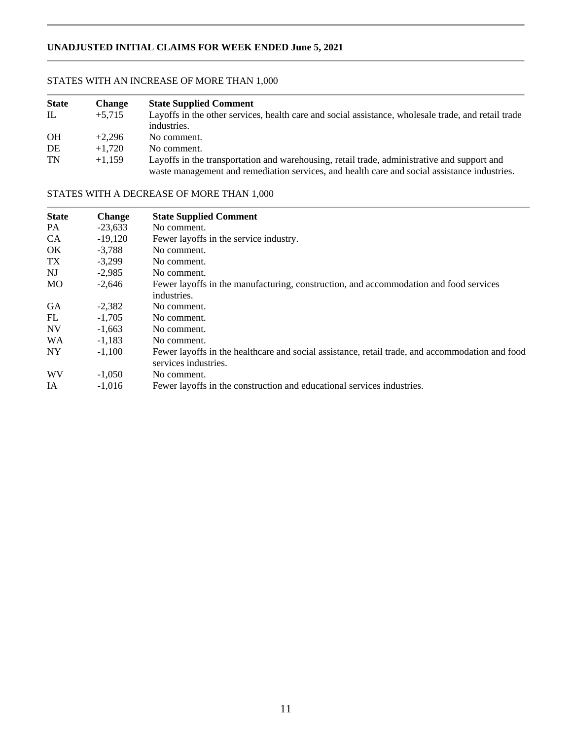## **UNADJUSTED INITIAL CLAIMS FOR WEEK ENDED June 5, 2021**

### STATES WITH AN INCREASE OF MORE THAN 1,000

| <b>State</b> | <b>Change</b> | <b>State Supplied Comment</b>                                                                       |
|--------------|---------------|-----------------------------------------------------------------------------------------------------|
| $\mathbf{L}$ | $+5.715$      | Layoffs in the other services, health care and social assistance, wholesale trade, and retail trade |
|              |               | industries.                                                                                         |
| <b>OH</b>    | $+2.296$      | No comment.                                                                                         |
| DE           | $+1.720$      | No comment.                                                                                         |
| <b>TN</b>    | $+1.159$      | Layoffs in the transportation and warehousing, retail trade, administrative and support and         |
|              |               | waste management and remediation services, and health care and social assistance industries.        |

### STATES WITH A DECREASE OF MORE THAN 1,000

| <b>State</b> | <b>Change</b> | <b>State Supplied Comment</b>                                                                   |
|--------------|---------------|-------------------------------------------------------------------------------------------------|
| PA           | $-23,633$     | No comment.                                                                                     |
| CA           | $-19,120$     | Fewer layoffs in the service industry.                                                          |
| OK           | $-3.788$      | No comment.                                                                                     |
| TX           | $-3.299$      | No comment.                                                                                     |
| NJ           | $-2,985$      | No comment.                                                                                     |
| MO           | $-2,646$      | Fewer layoffs in the manufacturing, construction, and accommodation and food services           |
|              |               | industries.                                                                                     |
| <b>GA</b>    | $-2,382$      | No comment.                                                                                     |
| FL           | $-1.705$      | No comment.                                                                                     |
| <b>NV</b>    | $-1,663$      | No comment.                                                                                     |
| <b>WA</b>    | $-1,183$      | No comment.                                                                                     |
| <b>NY</b>    | $-1.100$      | Fewer layoffs in the healthcare and social assistance, retail trade, and accommodation and food |
|              |               | services industries.                                                                            |
| <b>WV</b>    | $-1,050$      | No comment.                                                                                     |
| <b>IA</b>    | $-1.016$      | Fewer layoffs in the construction and educational services industries.                          |